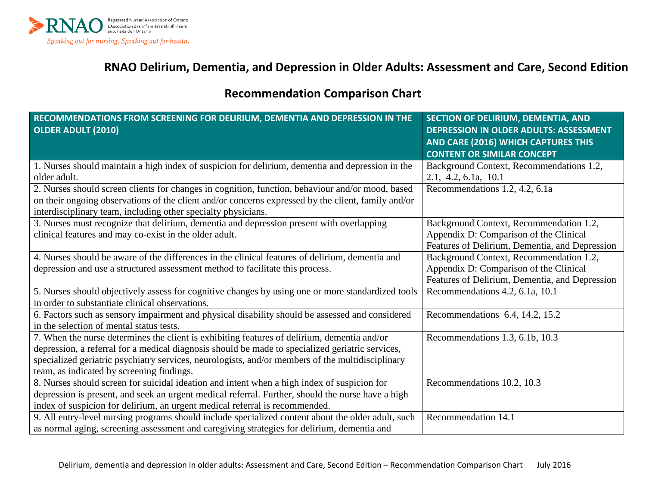

## **RNAO Delirium, Dementia, and Depression in Older Adults: Assessment and Care, Second Edition**

## **Recommendation Comparison Chart**

| RECOMMENDATIONS FROM SCREENING FOR DELIRIUM, DEMENTIA AND DEPRESSION IN THE<br><b>OLDER ADULT (2010)</b>         | SECTION OF DELIRIUM, DEMENTIA, AND<br>DEPRESSION IN OLDER ADULTS: ASSESSMENT |
|------------------------------------------------------------------------------------------------------------------|------------------------------------------------------------------------------|
|                                                                                                                  | AND CARE (2016) WHICH CAPTURES THIS                                          |
|                                                                                                                  | <b>CONTENT OR SIMILAR CONCEPT</b>                                            |
| 1. Nurses should maintain a high index of suspicion for delirium, dementia and depression in the<br>older adult. | Background Context, Recommendations 1.2,<br>2.1, 4.2, 6.1a, 10.1             |
| 2. Nurses should screen clients for changes in cognition, function, behaviour and/or mood, based                 | Recommendations 1.2, 4.2, 6.1a                                               |
| on their ongoing observations of the client and/or concerns expressed by the client, family and/or               |                                                                              |
| interdisciplinary team, including other specialty physicians.                                                    |                                                                              |
| 3. Nurses must recognize that delirium, dementia and depression present with overlapping                         | Background Context, Recommendation 1.2,                                      |
| clinical features and may co-exist in the older adult.                                                           | Appendix D: Comparison of the Clinical                                       |
|                                                                                                                  | Features of Delirium, Dementia, and Depression                               |
| 4. Nurses should be aware of the differences in the clinical features of delirium, dementia and                  | Background Context, Recommendation 1.2,                                      |
| depression and use a structured assessment method to facilitate this process.                                    | Appendix D: Comparison of the Clinical                                       |
|                                                                                                                  | Features of Delirium, Dementia, and Depression                               |
| 5. Nurses should objectively assess for cognitive changes by using one or more standardized tools                | Recommendations 4.2, 6.1a, 10.1                                              |
| in order to substantiate clinical observations.                                                                  |                                                                              |
| 6. Factors such as sensory impairment and physical disability should be assessed and considered                  | Recommendations 6.4, 14.2, 15.2                                              |
| in the selection of mental status tests.                                                                         |                                                                              |
| 7. When the nurse determines the client is exhibiting features of delirium, dementia and/or                      | Recommendations 1.3, 6.1b, 10.3                                              |
| depression, a referral for a medical diagnosis should be made to specialized geriatric services,                 |                                                                              |
| specialized geriatric psychiatry services, neurologists, and/or members of the multidisciplinary                 |                                                                              |
| team, as indicated by screening findings.                                                                        |                                                                              |
| 8. Nurses should screen for suicidal ideation and intent when a high index of suspicion for                      | Recommendations 10.2, 10.3                                                   |
| depression is present, and seek an urgent medical referral. Further, should the nurse have a high                |                                                                              |
| index of suspicion for delirium, an urgent medical referral is recommended.                                      |                                                                              |
| 9. All entry-level nursing programs should include specialized content about the older adult, such               | Recommendation 14.1                                                          |
| as normal aging, screening assessment and caregiving strategies for delirium, dementia and                       |                                                                              |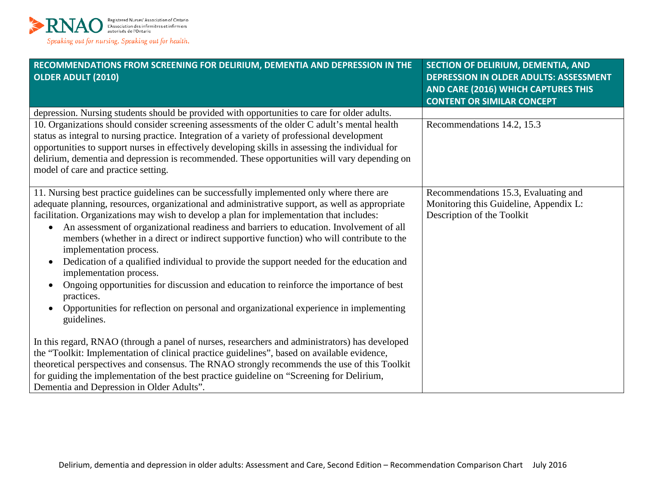

| RECOMMENDATIONS FROM SCREENING FOR DELIRIUM, DEMENTIA AND DEPRESSION IN THE<br><b>OLDER ADULT (2010)</b>                                                                                                                                                                                                                                                                                                                                | SECTION OF DELIRIUM, DEMENTIA, AND<br><b>DEPRESSION IN OLDER ADULTS: ASSESSMENT</b><br>AND CARE (2016) WHICH CAPTURES THIS |
|-----------------------------------------------------------------------------------------------------------------------------------------------------------------------------------------------------------------------------------------------------------------------------------------------------------------------------------------------------------------------------------------------------------------------------------------|----------------------------------------------------------------------------------------------------------------------------|
|                                                                                                                                                                                                                                                                                                                                                                                                                                         | <b>CONTENT OR SIMILAR CONCEPT</b>                                                                                          |
| depression. Nursing students should be provided with opportunities to care for older adults.                                                                                                                                                                                                                                                                                                                                            |                                                                                                                            |
| 10. Organizations should consider screening assessments of the older C adult's mental health<br>status as integral to nursing practice. Integration of a variety of professional development<br>opportunities to support nurses in effectively developing skills in assessing the individual for<br>delirium, dementia and depression is recommended. These opportunities will vary depending on<br>model of care and practice setting. | Recommendations 14.2, 15.3                                                                                                 |
| 11. Nursing best practice guidelines can be successfully implemented only where there are                                                                                                                                                                                                                                                                                                                                               | Recommendations 15.3, Evaluating and                                                                                       |
| adequate planning, resources, organizational and administrative support, as well as appropriate<br>facilitation. Organizations may wish to develop a plan for implementation that includes:                                                                                                                                                                                                                                             | Monitoring this Guideline, Appendix L:<br>Description of the Toolkit                                                       |
| An assessment of organizational readiness and barriers to education. Involvement of all<br>members (whether in a direct or indirect supportive function) who will contribute to the<br>implementation process.                                                                                                                                                                                                                          |                                                                                                                            |
| Dedication of a qualified individual to provide the support needed for the education and<br>$\bullet$<br>implementation process.                                                                                                                                                                                                                                                                                                        |                                                                                                                            |
| Ongoing opportunities for discussion and education to reinforce the importance of best<br>practices.                                                                                                                                                                                                                                                                                                                                    |                                                                                                                            |
| Opportunities for reflection on personal and organizational experience in implementing<br>$\bullet$<br>guidelines.                                                                                                                                                                                                                                                                                                                      |                                                                                                                            |
| In this regard, RNAO (through a panel of nurses, researchers and administrators) has developed<br>the "Toolkit: Implementation of clinical practice guidelines", based on available evidence,<br>theoretical perspectives and consensus. The RNAO strongly recommends the use of this Toolkit<br>for guiding the implementation of the best practice guideline on "Screening for Delirium,<br>Dementia and Depression in Older Adults". |                                                                                                                            |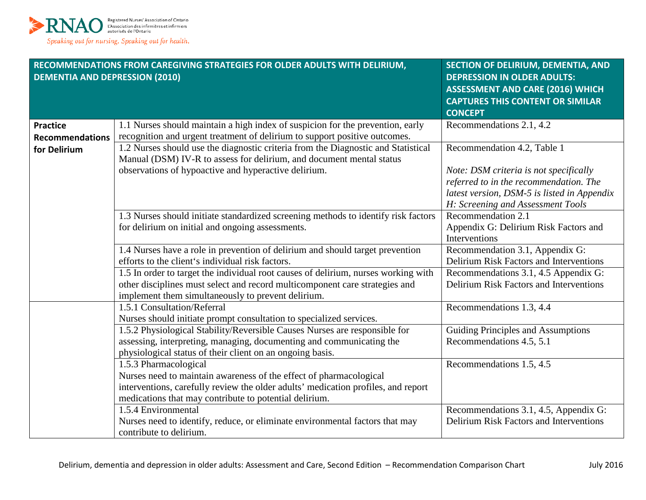

| RECOMMENDATIONS FROM CAREGIVING STRATEGIES FOR OLDER ADULTS WITH DELIRIUM,<br><b>DEMENTIA AND DEPRESSION (2010)</b> |                                                                                    | <b>SECTION OF DELIRIUM, DEMENTIA, AND</b><br><b>DEPRESSION IN OLDER ADULTS:</b><br><b>ASSESSMENT AND CARE (2016) WHICH</b><br><b>CAPTURES THIS CONTENT OR SIMILAR</b><br><b>CONCEPT</b> |
|---------------------------------------------------------------------------------------------------------------------|------------------------------------------------------------------------------------|-----------------------------------------------------------------------------------------------------------------------------------------------------------------------------------------|
| <b>Practice</b>                                                                                                     | 1.1 Nurses should maintain a high index of suspicion for the prevention, early     | Recommendations 2.1, 4.2                                                                                                                                                                |
| <b>Recommendations</b>                                                                                              | recognition and urgent treatment of delirium to support positive outcomes.         |                                                                                                                                                                                         |
| for Delirium                                                                                                        | 1.2 Nurses should use the diagnostic criteria from the Diagnostic and Statistical  | Recommendation 4.2, Table 1                                                                                                                                                             |
|                                                                                                                     | Manual (DSM) IV-R to assess for delirium, and document mental status               |                                                                                                                                                                                         |
|                                                                                                                     | observations of hypoactive and hyperactive delirium.                               | Note: DSM criteria is not specifically                                                                                                                                                  |
|                                                                                                                     |                                                                                    | referred to in the recommendation. The                                                                                                                                                  |
|                                                                                                                     |                                                                                    | latest version, DSM-5 is listed in Appendix                                                                                                                                             |
|                                                                                                                     |                                                                                    | H: Screening and Assessment Tools                                                                                                                                                       |
|                                                                                                                     | 1.3 Nurses should initiate standardized screening methods to identify risk factors | Recommendation 2.1                                                                                                                                                                      |
|                                                                                                                     | for delirium on initial and ongoing assessments.                                   | Appendix G: Delirium Risk Factors and                                                                                                                                                   |
|                                                                                                                     |                                                                                    | Interventions                                                                                                                                                                           |
|                                                                                                                     | 1.4 Nurses have a role in prevention of delirium and should target prevention      | Recommendation 3.1, Appendix G:                                                                                                                                                         |
|                                                                                                                     | efforts to the client's individual risk factors.                                   | Delirium Risk Factors and Interventions                                                                                                                                                 |
|                                                                                                                     | 1.5 In order to target the individual root causes of delirium, nurses working with | Recommendations 3.1, 4.5 Appendix G:                                                                                                                                                    |
|                                                                                                                     | other disciplines must select and record multicomponent care strategies and        | Delirium Risk Factors and Interventions                                                                                                                                                 |
|                                                                                                                     | implement them simultaneously to prevent delirium.                                 |                                                                                                                                                                                         |
|                                                                                                                     | 1.5.1 Consultation/Referral                                                        | Recommendations 1.3, 4.4                                                                                                                                                                |
|                                                                                                                     | Nurses should initiate prompt consultation to specialized services.                |                                                                                                                                                                                         |
|                                                                                                                     | 1.5.2 Physiological Stability/Reversible Causes Nurses are responsible for         | Guiding Principles and Assumptions                                                                                                                                                      |
|                                                                                                                     | assessing, interpreting, managing, documenting and communicating the               | Recommendations 4.5, 5.1                                                                                                                                                                |
|                                                                                                                     | physiological status of their client on an ongoing basis.                          |                                                                                                                                                                                         |
|                                                                                                                     | 1.5.3 Pharmacological                                                              | Recommendations 1.5, 4.5                                                                                                                                                                |
|                                                                                                                     | Nurses need to maintain awareness of the effect of pharmacological                 |                                                                                                                                                                                         |
|                                                                                                                     | interventions, carefully review the older adults' medication profiles, and report  |                                                                                                                                                                                         |
|                                                                                                                     | medications that may contribute to potential delirium.                             |                                                                                                                                                                                         |
|                                                                                                                     | 1.5.4 Environmental                                                                | Recommendations 3.1, 4.5, Appendix G:                                                                                                                                                   |
|                                                                                                                     | Nurses need to identify, reduce, or eliminate environmental factors that may       | Delirium Risk Factors and Interventions                                                                                                                                                 |
|                                                                                                                     | contribute to delirium.                                                            |                                                                                                                                                                                         |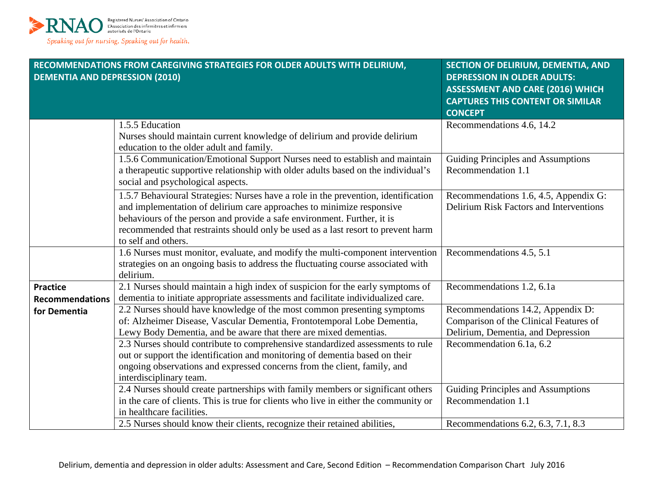

| <b>DEMENTIA AND DEPRESSION (2010)</b>  | RECOMMENDATIONS FROM CAREGIVING STRATEGIES FOR OLDER ADULTS WITH DELIRIUM,                                                                                                                                                                                                                                                                                                                                                                                                                                                                                                         | <b>SECTION OF DELIRIUM, DEMENTIA, AND</b><br><b>DEPRESSION IN OLDER ADULTS:</b><br><b>ASSESSMENT AND CARE (2016) WHICH</b><br><b>CAPTURES THIS CONTENT OR SIMILAR</b><br><b>CONCEPT</b> |
|----------------------------------------|------------------------------------------------------------------------------------------------------------------------------------------------------------------------------------------------------------------------------------------------------------------------------------------------------------------------------------------------------------------------------------------------------------------------------------------------------------------------------------------------------------------------------------------------------------------------------------|-----------------------------------------------------------------------------------------------------------------------------------------------------------------------------------------|
|                                        | 1.5.5 Education<br>Nurses should maintain current knowledge of delirium and provide delirium<br>education to the older adult and family.                                                                                                                                                                                                                                                                                                                                                                                                                                           | Recommendations 4.6, 14.2                                                                                                                                                               |
|                                        | 1.5.6 Communication/Emotional Support Nurses need to establish and maintain<br>a therapeutic supportive relationship with older adults based on the individual's<br>social and psychological aspects.                                                                                                                                                                                                                                                                                                                                                                              | Guiding Principles and Assumptions<br>Recommendation 1.1                                                                                                                                |
|                                        | 1.5.7 Behavioural Strategies: Nurses have a role in the prevention, identification<br>and implementation of delirium care approaches to minimize responsive<br>behaviours of the person and provide a safe environment. Further, it is<br>recommended that restraints should only be used as a last resort to prevent harm<br>to self and others.                                                                                                                                                                                                                                  | Recommendations 1.6, 4.5, Appendix G:<br>Delirium Risk Factors and Interventions                                                                                                        |
|                                        | 1.6 Nurses must monitor, evaluate, and modify the multi-component intervention<br>strategies on an ongoing basis to address the fluctuating course associated with<br>delirium.                                                                                                                                                                                                                                                                                                                                                                                                    | Recommendations 4.5, 5.1                                                                                                                                                                |
| <b>Practice</b>                        | 2.1 Nurses should maintain a high index of suspicion for the early symptoms of                                                                                                                                                                                                                                                                                                                                                                                                                                                                                                     | Recommendations 1.2, 6.1a                                                                                                                                                               |
| <b>Recommendations</b><br>for Dementia | dementia to initiate appropriate assessments and facilitate individualized care.<br>2.2 Nurses should have knowledge of the most common presenting symptoms<br>of: Alzheimer Disease, Vascular Dementia, Frontotemporal Lobe Dementia,<br>Lewy Body Dementia, and be aware that there are mixed dementias.<br>2.3 Nurses should contribute to comprehensive standardized assessments to rule<br>out or support the identification and monitoring of dementia based on their<br>ongoing observations and expressed concerns from the client, family, and<br>interdisciplinary team. | Recommendations 14.2, Appendix D:<br>Comparison of the Clinical Features of<br>Delirium, Dementia, and Depression<br>Recommendation 6.1a, 6.2                                           |
|                                        | 2.4 Nurses should create partnerships with family members or significant others<br>in the care of clients. This is true for clients who live in either the community or<br>in healthcare facilities.<br>2.5 Nurses should know their clients, recognize their retained abilities,                                                                                                                                                                                                                                                                                                  | Guiding Principles and Assumptions<br>Recommendation 1.1<br>Recommendations 6.2, 6.3, 7.1, 8.3                                                                                          |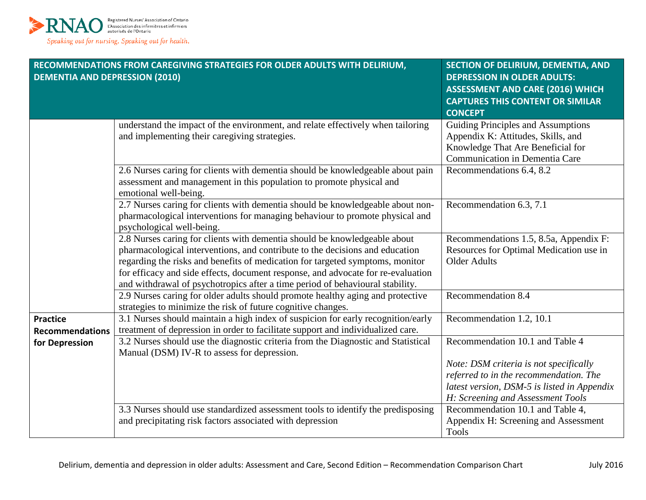

| RECOMMENDATIONS FROM CAREGIVING STRATEGIES FOR OLDER ADULTS WITH DELIRIUM,<br><b>DEMENTIA AND DEPRESSION (2010)</b> |                                                                                                                                                                                                                                                                                                                                                                                                                 | SECTION OF DELIRIUM, DEMENTIA, AND<br><b>DEPRESSION IN OLDER ADULTS:</b><br><b>ASSESSMENT AND CARE (2016) WHICH</b><br><b>CAPTURES THIS CONTENT OR SIMILAR</b>                                          |
|---------------------------------------------------------------------------------------------------------------------|-----------------------------------------------------------------------------------------------------------------------------------------------------------------------------------------------------------------------------------------------------------------------------------------------------------------------------------------------------------------------------------------------------------------|---------------------------------------------------------------------------------------------------------------------------------------------------------------------------------------------------------|
|                                                                                                                     |                                                                                                                                                                                                                                                                                                                                                                                                                 | <b>CONCEPT</b>                                                                                                                                                                                          |
|                                                                                                                     | understand the impact of the environment, and relate effectively when tailoring<br>and implementing their caregiving strategies.                                                                                                                                                                                                                                                                                | <b>Guiding Principles and Assumptions</b><br>Appendix K: Attitudes, Skills, and<br>Knowledge That Are Beneficial for<br>Communication in Dementia Care                                                  |
|                                                                                                                     | 2.6 Nurses caring for clients with dementia should be knowledgeable about pain<br>assessment and management in this population to promote physical and<br>emotional well-being.                                                                                                                                                                                                                                 | Recommendations 6.4, 8.2                                                                                                                                                                                |
|                                                                                                                     | 2.7 Nurses caring for clients with dementia should be knowledgeable about non-<br>pharmacological interventions for managing behaviour to promote physical and<br>psychological well-being.                                                                                                                                                                                                                     | Recommendation 6.3, 7.1                                                                                                                                                                                 |
|                                                                                                                     | 2.8 Nurses caring for clients with dementia should be knowledgeable about<br>pharmacological interventions, and contribute to the decisions and education<br>regarding the risks and benefits of medication for targeted symptoms, monitor<br>for efficacy and side effects, document response, and advocate for re-evaluation<br>and withdrawal of psychotropics after a time period of behavioural stability. | Recommendations 1.5, 8.5a, Appendix F:<br>Resources for Optimal Medication use in<br><b>Older Adults</b>                                                                                                |
|                                                                                                                     | 2.9 Nurses caring for older adults should promote healthy aging and protective<br>strategies to minimize the risk of future cognitive changes.                                                                                                                                                                                                                                                                  | Recommendation $\overline{8.4}$                                                                                                                                                                         |
| <b>Practice</b><br><b>Recommendations</b>                                                                           | 3.1 Nurses should maintain a high index of suspicion for early recognition/early<br>treatment of depression in order to facilitate support and individualized care.                                                                                                                                                                                                                                             | Recommendation 1.2, 10.1                                                                                                                                                                                |
| for Depression                                                                                                      | 3.2 Nurses should use the diagnostic criteria from the Diagnostic and Statistical<br>Manual (DSM) IV-R to assess for depression.                                                                                                                                                                                                                                                                                | Recommendation 10.1 and Table 4<br>Note: DSM criteria is not specifically<br>referred to in the recommendation. The<br>latest version, DSM-5 is listed in Appendix<br>H: Screening and Assessment Tools |
|                                                                                                                     | 3.3 Nurses should use standardized assessment tools to identify the predisposing<br>and precipitating risk factors associated with depression                                                                                                                                                                                                                                                                   | Recommendation 10.1 and Table 4,<br>Appendix H: Screening and Assessment<br><b>Tools</b>                                                                                                                |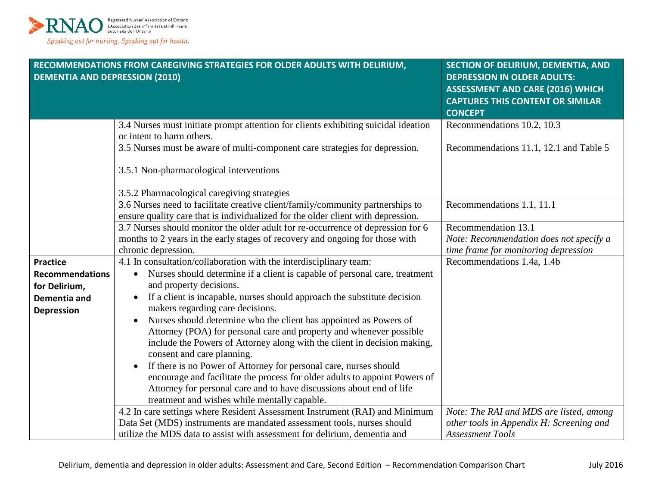

| <b>DEMENTIA AND DEPRESSION (2010)</b> | RECOMMENDATIONS FROM CAREGIVING STRATEGIES FOR OLDER ADULTS WITH DELIRIUM,                                                                                         | SECTION OF DELIRIUM, DEMENTIA, AND<br><b>DEPRESSION IN OLDER ADULTS:</b><br><b>ASSESSMENT AND CARE (2016) WHICH</b> |
|---------------------------------------|--------------------------------------------------------------------------------------------------------------------------------------------------------------------|---------------------------------------------------------------------------------------------------------------------|
|                                       |                                                                                                                                                                    | <b>CAPTURES THIS CONTENT OR SIMILAR</b><br><b>CONCEPT</b>                                                           |
|                                       | 3.4 Nurses must initiate prompt attention for clients exhibiting suicidal ideation<br>or intent to harm others.                                                    | Recommendations 10.2, 10.3                                                                                          |
|                                       | 3.5 Nurses must be aware of multi-component care strategies for depression.<br>3.5.1 Non-pharmacological interventions                                             | Recommendations 11.1, 12.1 and Table 5                                                                              |
|                                       | 3.5.2 Pharmacological caregiving strategies                                                                                                                        |                                                                                                                     |
|                                       | 3.6 Nurses need to facilitate creative client/family/community partnerships to<br>ensure quality care that is individualized for the older client with depression. | Recommendations 1.1, 11.1                                                                                           |
|                                       | 3.7 Nurses should monitor the older adult for re-occurrence of depression for 6                                                                                    | Recommendation 13.1                                                                                                 |
|                                       | months to 2 years in the early stages of recovery and ongoing for those with                                                                                       | Note: Recommendation does not specify a                                                                             |
|                                       | chronic depression.                                                                                                                                                | time frame for monitoring depression                                                                                |
| <b>Practice</b>                       | 4.1 In consultation/collaboration with the interdisciplinary team:                                                                                                 | Recommendations 1.4a, 1.4b                                                                                          |
| <b>Recommendations</b>                | Nurses should determine if a client is capable of personal care, treatment<br>$\bullet$                                                                            |                                                                                                                     |
| for Delirium,                         | and property decisions.                                                                                                                                            |                                                                                                                     |
| <b>Dementia and</b>                   | If a client is incapable, nurses should approach the substitute decision<br>$\bullet$                                                                              |                                                                                                                     |
| <b>Depression</b>                     | makers regarding care decisions.                                                                                                                                   |                                                                                                                     |
|                                       | Nurses should determine who the client has appointed as Powers of                                                                                                  |                                                                                                                     |
|                                       | Attorney (POA) for personal care and property and whenever possible                                                                                                |                                                                                                                     |
|                                       | include the Powers of Attorney along with the client in decision making,<br>consent and care planning.                                                             |                                                                                                                     |
|                                       | If there is no Power of Attorney for personal care, nurses should                                                                                                  |                                                                                                                     |
|                                       | encourage and facilitate the process for older adults to appoint Powers of                                                                                         |                                                                                                                     |
|                                       | Attorney for personal care and to have discussions about end of life                                                                                               |                                                                                                                     |
|                                       | treatment and wishes while mentally capable.                                                                                                                       |                                                                                                                     |
|                                       | 4.2 In care settings where Resident Assessment Instrument (RAI) and Minimum                                                                                        | Note: The RAI and MDS are listed, among                                                                             |
|                                       | Data Set (MDS) instruments are mandated assessment tools, nurses should                                                                                            | other tools in Appendix H: Screening and                                                                            |
|                                       | utilize the MDS data to assist with assessment for delirium, dementia and                                                                                          | <b>Assessment Tools</b>                                                                                             |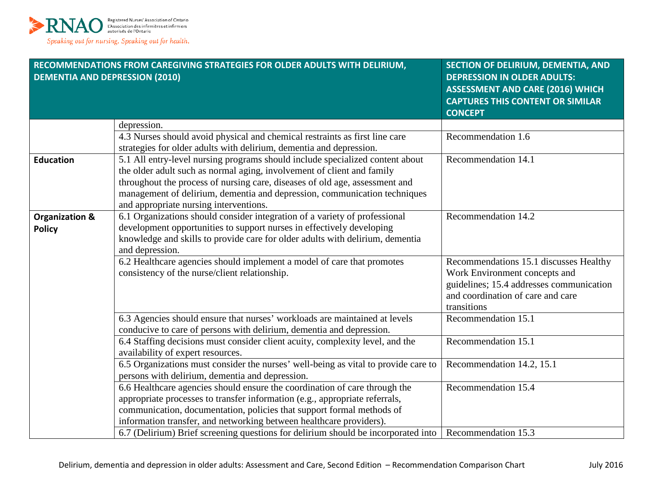

| <b>DEMENTIA AND DEPRESSION (2010)</b>      | RECOMMENDATIONS FROM CAREGIVING STRATEGIES FOR OLDER ADULTS WITH DELIRIUM,                                                                                                                                                                                                                                                                                    | SECTION OF DELIRIUM, DEMENTIA, AND<br><b>DEPRESSION IN OLDER ADULTS:</b><br><b>ASSESSMENT AND CARE (2016) WHICH</b><br><b>CAPTURES THIS CONTENT OR SIMILAR</b><br><b>CONCEPT</b> |
|--------------------------------------------|---------------------------------------------------------------------------------------------------------------------------------------------------------------------------------------------------------------------------------------------------------------------------------------------------------------------------------------------------------------|----------------------------------------------------------------------------------------------------------------------------------------------------------------------------------|
|                                            | depression.                                                                                                                                                                                                                                                                                                                                                   |                                                                                                                                                                                  |
|                                            | 4.3 Nurses should avoid physical and chemical restraints as first line care<br>strategies for older adults with delirium, dementia and depression.                                                                                                                                                                                                            | Recommendation 1.6                                                                                                                                                               |
| <b>Education</b>                           | 5.1 All entry-level nursing programs should include specialized content about<br>the older adult such as normal aging, involvement of client and family<br>throughout the process of nursing care, diseases of old age, assessment and<br>management of delirium, dementia and depression, communication techniques<br>and appropriate nursing interventions. | Recommendation 14.1                                                                                                                                                              |
| <b>Organization &amp;</b><br><b>Policy</b> | 6.1 Organizations should consider integration of a variety of professional<br>development opportunities to support nurses in effectively developing<br>knowledge and skills to provide care for older adults with delirium, dementia<br>and depression.                                                                                                       | Recommendation 14.2                                                                                                                                                              |
|                                            | 6.2 Healthcare agencies should implement a model of care that promotes<br>consistency of the nurse/client relationship.                                                                                                                                                                                                                                       | Recommendations 15.1 discusses Healthy<br>Work Environment concepts and<br>guidelines; 15.4 addresses communication<br>and coordination of care and care<br>transitions          |
|                                            | 6.3 Agencies should ensure that nurses' workloads are maintained at levels<br>conducive to care of persons with delirium, dementia and depression.                                                                                                                                                                                                            | Recommendation 15.1                                                                                                                                                              |
|                                            | 6.4 Staffing decisions must consider client acuity, complexity level, and the<br>availability of expert resources.                                                                                                                                                                                                                                            | Recommendation 15.1                                                                                                                                                              |
|                                            | 6.5 Organizations must consider the nurses' well-being as vital to provide care to<br>persons with delirium, dementia and depression.                                                                                                                                                                                                                         | Recommendation 14.2, 15.1                                                                                                                                                        |
|                                            | 6.6 Healthcare agencies should ensure the coordination of care through the<br>appropriate processes to transfer information (e.g., appropriate referrals,<br>communication, documentation, policies that support formal methods of<br>information transfer, and networking between healthcare providers).                                                     | Recommendation 15.4                                                                                                                                                              |
|                                            | 6.7 (Delirium) Brief screening questions for delirium should be incorporated into                                                                                                                                                                                                                                                                             | Recommendation 15.3                                                                                                                                                              |